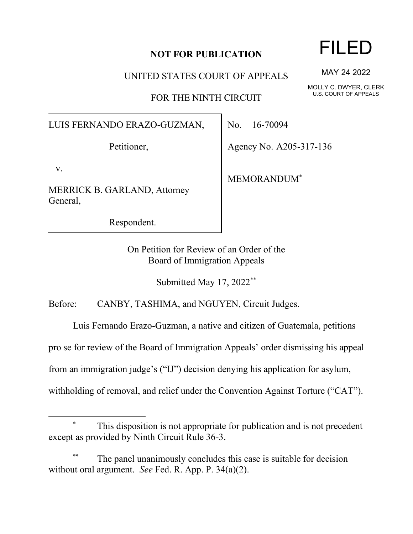## **NOT FOR PUBLICATION**

UNITED STATES COURT OF APPEALS

FOR THE NINTH CIRCUIT

LUIS FERNANDO ERAZO-GUZMAN,

Petitioner,

v.

MERRICK B. GARLAND, Attorney General,

Respondent.

No. 16-70094

Agency No. A205-317-136

MEMORANDUM\*

On Petition for Review of an Order of the Board of Immigration Appeals

Submitted May 17, 2022\*\*

Before: CANBY, TASHIMA, and NGUYEN, Circuit Judges.

Luis Fernando Erazo-Guzman, a native and citizen of Guatemala, petitions

pro se for review of the Board of Immigration Appeals' order dismissing his appeal

from an immigration judge's ("IJ") decision denying his application for asylum,

withholding of removal, and relief under the Convention Against Torture ("CAT").

This disposition is not appropriate for publication and is not precedent except as provided by Ninth Circuit Rule 36-3.

The panel unanimously concludes this case is suitable for decision without oral argument. *See* Fed. R. App. P. 34(a)(2).

## FILED

MAY 24 2022

MOLLY C. DWYER, CLERK U.S. COURT OF APPEALS